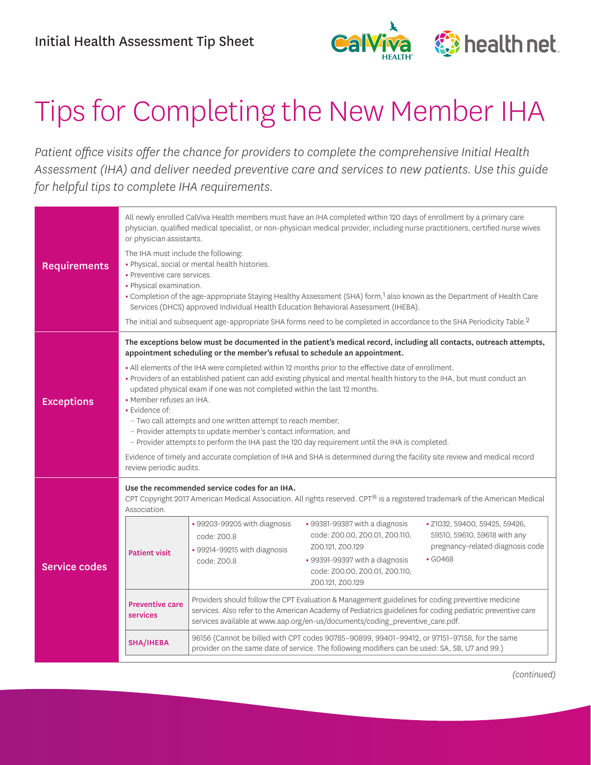

## Tips for Completing the New Member IHA

*Patient office visits offer the chance for providers to complete the comprehensive Initial Health Assessment (IHA) and deliver needed preventive care and services to new patients. Use this guide for helpful tips to complete IHA requirements.* 

| <b>Requirements</b>  | All newly enrolled CalViva Health members must have an IHA completed within 120 days of enrollment by a primary care<br>physician, qualified medical specialist, or non-physician medical provider, including nurse practitioners, certified nurse wives<br>or physician assistants.<br>The IHA must include the following:<br>• Physical, social or mental health histories.<br>• Preventive care services.<br>• Physical examination.<br>. Completion of the age-appropriate Staying Healthy Assessment (SHA) form, <sup>1</sup> also known as the Department of Health Care<br>Services (DHCS) approved Individual Health Education Behavioral Assessment (IHEBA).<br>The initial and subsequent age-appropriate SHA forms need to be completed in accordance to the SHA Periodicity Table. <sup>2</sup>                                                                                                                                                      |                                                                                                                                             |                                                                                                                                                                                                                                                                                                                                                                                                                                                                                                                                                                       |                                                                                                                                                                                                                                                                                                                                                                  |  |
|----------------------|------------------------------------------------------------------------------------------------------------------------------------------------------------------------------------------------------------------------------------------------------------------------------------------------------------------------------------------------------------------------------------------------------------------------------------------------------------------------------------------------------------------------------------------------------------------------------------------------------------------------------------------------------------------------------------------------------------------------------------------------------------------------------------------------------------------------------------------------------------------------------------------------------------------------------------------------------------------|---------------------------------------------------------------------------------------------------------------------------------------------|-----------------------------------------------------------------------------------------------------------------------------------------------------------------------------------------------------------------------------------------------------------------------------------------------------------------------------------------------------------------------------------------------------------------------------------------------------------------------------------------------------------------------------------------------------------------------|------------------------------------------------------------------------------------------------------------------------------------------------------------------------------------------------------------------------------------------------------------------------------------------------------------------------------------------------------------------|--|
| <b>Exceptions</b>    | The exceptions below must be documented in the patient's medical record, including all contacts, outreach attempts,<br>appointment scheduling or the member's refusal to schedule an appointment.<br>. All elements of the IHA were completed within 12 months prior to the effective date of enrollment.<br>• Providers of an established patient can add existing physical and mental health history to the IHA, but must conduct an<br>updated physical exam if one was not completed within the last 12 months.<br>• Member refuses an IHA.<br>• Evidence of:<br>- Two call attempts and one written attempt to reach member,<br>- Provider attempts to update member's contact information, and<br>- Provider attempts to perform the IHA past the 120 day requirement until the IHA is completed.<br>Evidence of timely and accurate completion of IHA and SHA is determined during the facility site review and medical record<br>review periodic audits. |                                                                                                                                             |                                                                                                                                                                                                                                                                                                                                                                                                                                                                                                                                                                       |                                                                                                                                                                                                                                                                                                                                                                  |  |
| <b>Service codes</b> | Association.<br><b>Patient visit</b><br><b>Preventive care</b><br>services<br><b>SHA/IHEBA</b>                                                                                                                                                                                                                                                                                                                                                                                                                                                                                                                                                                                                                                                                                                                                                                                                                                                                   | Use the recommended service codes for an IHA.<br>• 99203-99205 with diagnosis<br>code: Z00.8<br>• 99214-99215 with diagnosis<br>code: Z00.8 | • 99381-99387 with a diagnosis<br>code: Z00.00, Z00.01, Z00.110,<br>Z00.121, Z00.129<br>• 99391-99397 with a diagnosis<br>code: Z00.00, Z00.01, Z00.110,<br>Z00.121, Z00.129<br>Providers should follow the CPT Evaluation & Management guidelines for coding preventive medicine<br>services available at www.aap.org/en-us/documents/coding_preventive_care.pdf.<br>96156 (Cannot be billed with CPT codes 90785-90899, 99401-99412, or 97151-97158, for the same<br>provider on the same date of service. The following modifiers can be used: SA, SB, U7 and 99.) | CPT Copyright 2017 American Medical Association. All rights reserved. CPT® is a registered trademark of the American Medical<br>· Z1032, 59400, 59425, 59426,<br>59510, 59610, 59618 with any<br>pregnancy-related diagnosis code<br>$\cdot$ GO468<br>services. Also refer to the American Academy of Pediatrics guidelines for coding pediatric preventive care |  |

*(continued)*